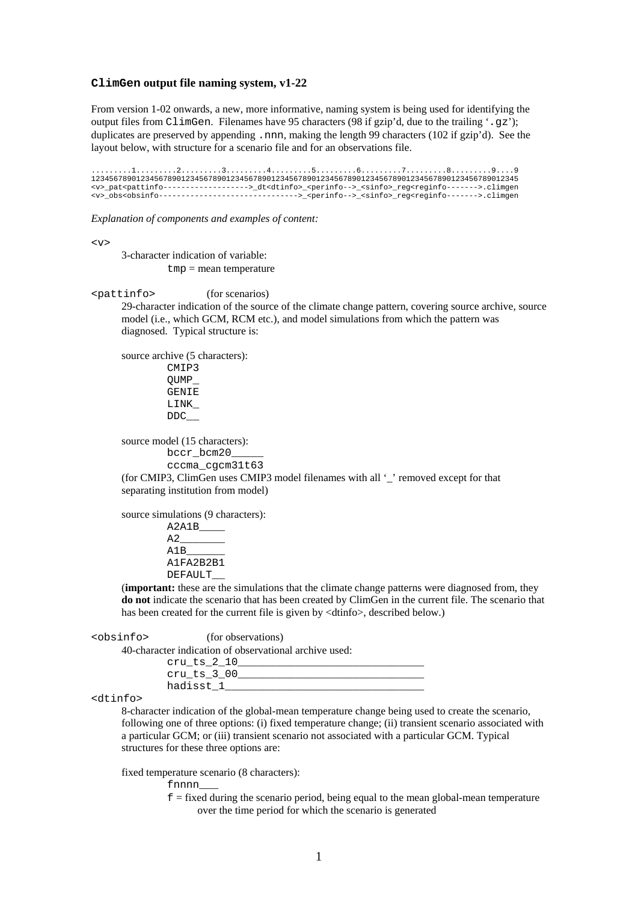## **ClimGen output file naming system, v1-22**

From version 1-02 onwards, a new, more informative, naming system is being used for identifying the output files from ClimGen. Filenames have 95 characters (98 if gzip'd, due to the trailing '.gz'); duplicates are preserved by appending .nnn, making the length 99 characters (102 if gzip'd). See the layout below, with structure for a scenario file and for an observations file.

.........1.........2.........3.........4.........5.........6.........7.........8.........9....9 12345678901234567890123456789012345678901234567890123456789012345678901234567890123456789012345 <v>\_pat<pattinfo------------------->\_dt<dtinfo>\_<perinfo-->\_<sinfo>\_reg<reginfo------->.climgen <v>\_obs<obsinfo------------------------------->\_<perinfo-->\_<sinfo>\_reg<reginfo------->.climgen

*Explanation of components and examples of content:* 

<v>

3-character indication of variable:  $tmp = mean$  temperature

<pattinfo> (for scenarios)

29-character indication of the source of the climate change pattern, covering source archive, source model (i.e., which GCM, RCM etc.), and model simulations from which the pattern was diagnosed. Typical structure is:

source archive (5 characters): CMIP3 QUMP\_ GENIE LINK\_ DDC\_\_

source model (15 characters):

bccr\_bcm20 cccma\_cgcm31t63

(for CMIP3, ClimGen uses CMIP3 model filenames with all '\_' removed except for that separating institution from model)

source simulations (9 characters):

A2A1B\_\_\_\_  $A2$ A1B\_\_\_\_\_\_ A1FA2B2B1 DEFAULT\_\_

(**important:** these are the simulations that the climate change patterns were diagnosed from, they **do not** indicate the scenario that has been created by ClimGen in the current file. The scenario that has been created for the current file is given by <dtinfo>, described below.)

<obsinfo> (for observations)

40-character indication of observational archive used:

| cru ts 2 10 |  |
|-------------|--|
| cru ts 3 00 |  |
| hadisst 1   |  |

## <dtinfo>

8-character indication of the global-mean temperature change being used to create the scenario, following one of three options: (i) fixed temperature change; (ii) transient scenario associated with a particular GCM; or (iii) transient scenario not associated with a particular GCM. Typical structures for these three options are:

fixed temperature scenario (8 characters):

fnnnn\_\_\_

 $f =$  fixed during the scenario period, being equal to the mean global-mean temperature over the time period for which the scenario is generated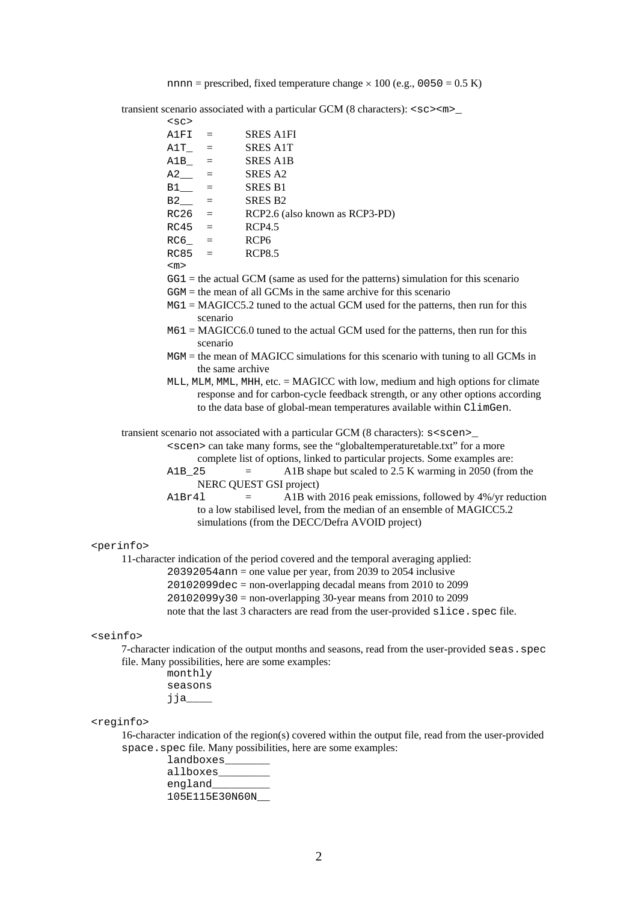nnnn = prescribed, fixed temperature change  $\times 100$  (e.g., 0050 = 0.5 K)

transient scenario associated with a particular GCM (8 characters): <sc><m>\_

|                                                                            | $<$ sc>                                                            |                                                                                                                                                                                 |  |
|----------------------------------------------------------------------------|--------------------------------------------------------------------|---------------------------------------------------------------------------------------------------------------------------------------------------------------------------------|--|
|                                                                            | A1FI<br>$=$                                                        | <b>SRES A1FI</b>                                                                                                                                                                |  |
|                                                                            | A1T<br>$=$                                                         | <b>SRES A1T</b>                                                                                                                                                                 |  |
|                                                                            | A1B<br>$=$                                                         | <b>SRES A1B</b>                                                                                                                                                                 |  |
|                                                                            | $A2$ <sub>—</sub><br>$=$                                           | SRES A2                                                                                                                                                                         |  |
|                                                                            | $B1$ <sub>___</sub><br>$=$                                         | <b>SRES B1</b>                                                                                                                                                                  |  |
|                                                                            | $B2$ <sub>___</sub><br>$=$                                         | <b>SRES B2</b>                                                                                                                                                                  |  |
|                                                                            | RC26<br>$=$                                                        | RCP2.6 (also known as RCP3-PD)                                                                                                                                                  |  |
|                                                                            | RC45<br>$=$                                                        | <b>RCP4.5</b>                                                                                                                                                                   |  |
|                                                                            | $RC6 =$                                                            | RCP <sub>6</sub>                                                                                                                                                                |  |
|                                                                            | RC85<br>$=$                                                        | <b>RCP8.5</b>                                                                                                                                                                   |  |
|                                                                            | $<$ m $>$                                                          |                                                                                                                                                                                 |  |
|                                                                            |                                                                    | $GG1$ = the actual GCM (same as used for the patterns) simulation for this scenario                                                                                             |  |
|                                                                            | $GGM =$ the mean of all GCMs in the same archive for this scenario |                                                                                                                                                                                 |  |
|                                                                            |                                                                    | $MG1 = MAGICC5.2$ tuned to the actual GCM used for the patterns, then run for this                                                                                              |  |
|                                                                            | scenario                                                           |                                                                                                                                                                                 |  |
|                                                                            | scenario                                                           | $M61 = MAGICC6.0$ tuned to the actual GCM used for the patterns, then run for this                                                                                              |  |
|                                                                            |                                                                    | $MGM =$ the mean of MAGICC simulations for this scenario with tuning to all GCMs in<br>the same archive                                                                         |  |
|                                                                            |                                                                    | MLL, MLM, MML, MHH, etc. = MAGICC with low, medium and high options for climate                                                                                                 |  |
|                                                                            |                                                                    | response and for carbon-cycle feedback strength, or any other options according                                                                                                 |  |
|                                                                            |                                                                    | to the data base of global-mean temperatures available within ClimGen.                                                                                                          |  |
|                                                                            |                                                                    |                                                                                                                                                                                 |  |
|                                                                            |                                                                    | transient scenario not associated with a particular GCM (8 characters): s <scen>_<br/><scen> can take many forms, see the "globaltemperaturetable.txt" for a more</scen></scen> |  |
|                                                                            |                                                                    | complete list of options, linked to particular projects. Some examples are:                                                                                                     |  |
|                                                                            | A1B 25                                                             | A1B shape but scaled to 2.5 K warming in 2050 (from the<br>$=$                                                                                                                  |  |
|                                                                            |                                                                    | NERC QUEST GSI project)                                                                                                                                                         |  |
|                                                                            | A1Br41                                                             | A1B with 2016 peak emissions, followed by 4%/yr reduction<br>$=$                                                                                                                |  |
|                                                                            |                                                                    | to a low stabilised level, from the median of an ensemble of MAGICC5.2                                                                                                          |  |
|                                                                            |                                                                    | simulations (from the DECC/Defra AVOID project)                                                                                                                                 |  |
|                                                                            |                                                                    |                                                                                                                                                                                 |  |
| <perinfo></perinfo>                                                        |                                                                    |                                                                                                                                                                                 |  |
|                                                                            |                                                                    | 11-character indication of the period covered and the temporal averaging applied:                                                                                               |  |
|                                                                            |                                                                    | $20392054$ ann = one value per year, from 2039 to 2054 inclusive                                                                                                                |  |
|                                                                            |                                                                    | $20102099$ dec = non-overlapping decadal means from 2010 to 2099                                                                                                                |  |
|                                                                            |                                                                    | $20102099y30$ = non-overlapping 30-year means from 2010 to 2099                                                                                                                 |  |
|                                                                            |                                                                    | note that the last 3 characters are read from the user-provided slice. spec file.                                                                                               |  |
|                                                                            |                                                                    |                                                                                                                                                                                 |  |
| <seinfo></seinfo>                                                          |                                                                    |                                                                                                                                                                                 |  |
|                                                                            |                                                                    | 7-character indication of the output months and seasons, read from the user-provided seas. spec                                                                                 |  |
|                                                                            |                                                                    | file. Many possibilities, here are some examples:                                                                                                                               |  |
|                                                                            | monthly                                                            |                                                                                                                                                                                 |  |
|                                                                            | seasons                                                            |                                                                                                                                                                                 |  |
|                                                                            | $j$ ja_____                                                        |                                                                                                                                                                                 |  |
|                                                                            |                                                                    |                                                                                                                                                                                 |  |
| <reginfo></reginfo>                                                        |                                                                    |                                                                                                                                                                                 |  |
|                                                                            |                                                                    | 16-character indication of the region(s) covered within the output file, read from the user-provided                                                                            |  |
| space. spec file. Many possibilities, here are some examples:<br>landboxes |                                                                    |                                                                                                                                                                                 |  |